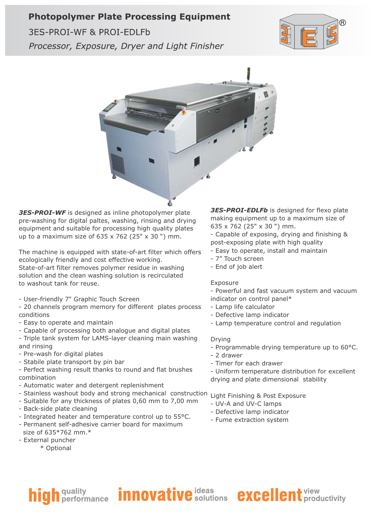# **Photopolymer Plate Processing Equipment**

**3ES-PROI-WF & PROI-EDLFb** 

Processor, Exposure, Dryer and Light Finisher





*3ES-PROI-WF* is designed as inline photopolymer plate pre-washing for digital paltes, washing, rinsing and drying equipment and suitable for processing high quality plates up to a maximum size of  $635 \times 762$  (25"  $\times$  30 ") mm.

The machine is equipped with state-of-art filter which offers ecologically friendly and cost effective working. State-of-art filter removes polymer residue in washing solution and the clean washing solution is recirculated to washout tank for reuse.

- User-friendly 7" Graphic Touch Screen
- 20 channels program memory for different plates process conditions
- Easy to operate and maintain
- Capable of processing both analogue and digital plates
- Triple tank system for LAMS-layer cleaning main washing and rinsing
- Pre-wash for digital plates
- Stabile plate transport by pin bar
- Perfect washing result thanks to round and flat brushes combination
- Automatic water and detergent replenishment
- Stainless washout body and strong mechanical construction Light Finishing & Post Exposure
- Suitable for any thickness of plates 0,60 mm to 7,00 mm
- Back-side plate cleaning
- Integrated heater and temperature control up to 55°C.
- Permanent self-adhesive carrier board for maximum size of 635\*762 mm.\*
- External puncher
	- \* Optional

*3ES-PROI-EDLFb* is designed for flexo plate making equipment up to a maximum size of 635 x 762 (25" x 30 ") mm.

- Capable of exposing, drying and finishing & post-exposing plate with high quality

- Easy to operate, install and maintain
- 7" Touch screen
- End of job alert

## Exposure

- Powerful and fast vacuum system and vacuum indicator on control panel\*

- Lamp life calculator
- Defective lamp indicator
- Lamp temperature control and regulation

## Drying

- Programmable drying temperature up to 60°C.
- 2 drawer
- Timer for each drawer
- Uniform temperature distribution for excellent
- drying and plate dimensional stability

- UV-A and UV-C lamps
- Defective lamp indicator
- Fume extraction system